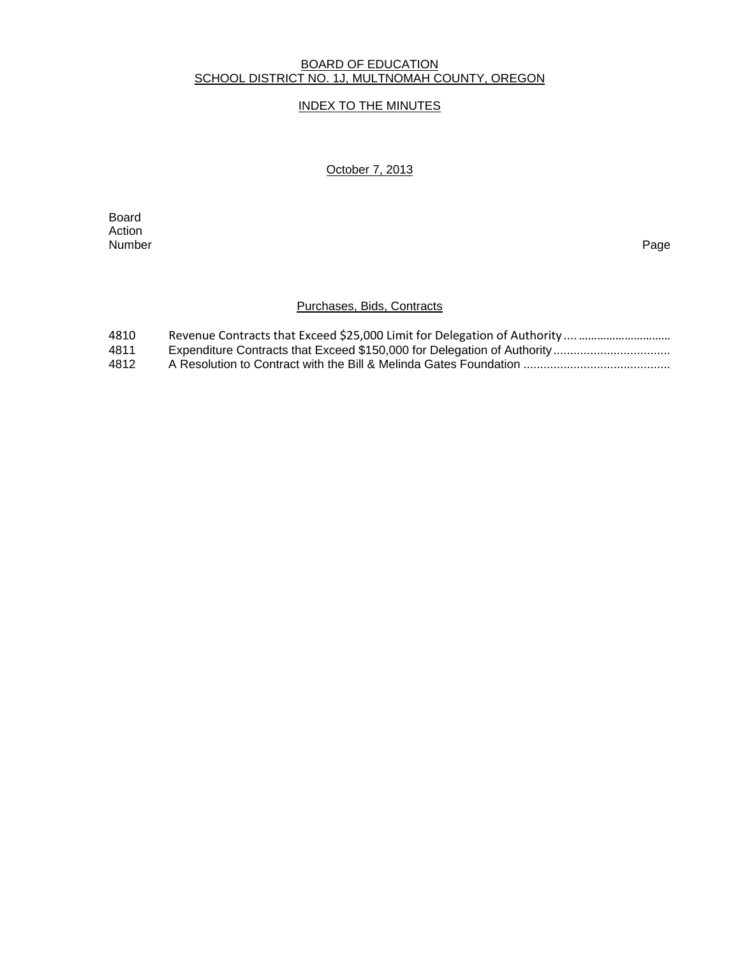#### BOARD OF EDUCATION SCHOOL DISTRICT NO. 1J, MULTNOMAH COUNTY, OREGON

## INDEX TO THE MINUTES

## October 7, 2013

**Board Board** Action<br>Number Number Page

## Purchases, Bids, Contracts

| 4810 |  |
|------|--|
| 4811 |  |
| 4812 |  |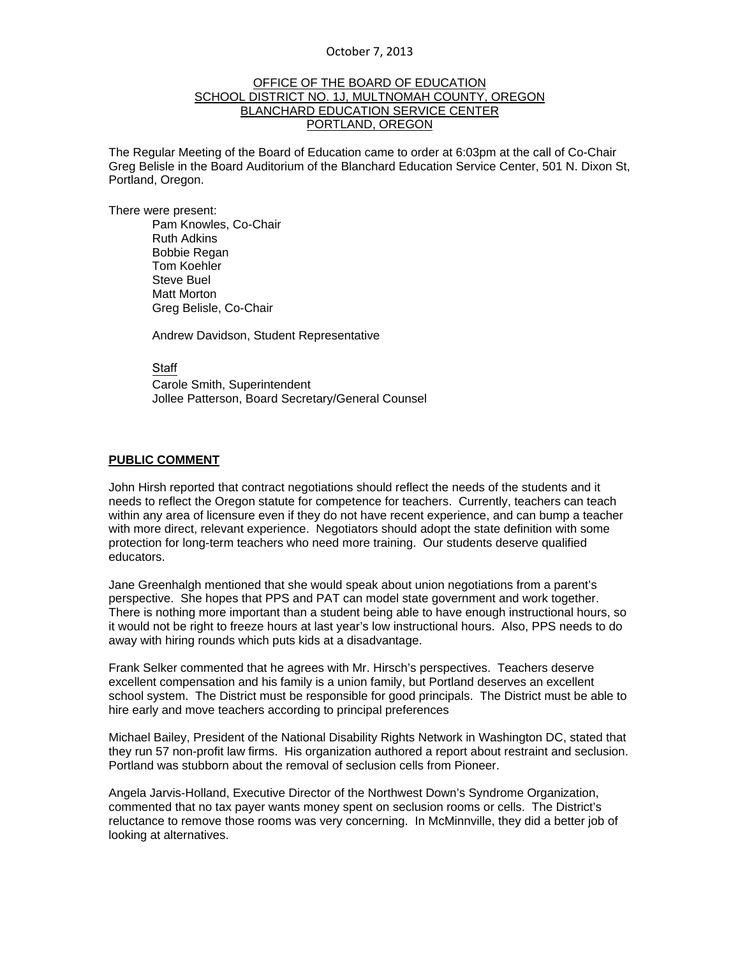#### OFFICE OF THE BOARD OF EDUCATION SCHOOL DISTRICT NO. 1J, MULTNOMAH COUNTY, OREGON BLANCHARD EDUCATION SERVICE CENTER PORTLAND, OREGON

The Regular Meeting of the Board of Education came to order at 6:03pm at the call of Co-Chair Greg Belisle in the Board Auditorium of the Blanchard Education Service Center, 501 N. Dixon St, Portland, Oregon.

There were present: Pam Knowles, Co-Chair Ruth Adkins Bobbie Regan Tom Koehler Steve Buel Matt Morton Greg Belisle, Co-Chair

Andrew Davidson, Student Representative

**Staff** 

 Carole Smith, Superintendent Jollee Patterson, Board Secretary/General Counsel

#### **PUBLIC COMMENT**

John Hirsh reported that contract negotiations should reflect the needs of the students and it needs to reflect the Oregon statute for competence for teachers. Currently, teachers can teach within any area of licensure even if they do not have recent experience, and can bump a teacher with more direct, relevant experience. Negotiators should adopt the state definition with some protection for long-term teachers who need more training. Our students deserve qualified educators.

Jane Greenhalgh mentioned that she would speak about union negotiations from a parent's perspective. She hopes that PPS and PAT can model state government and work together. There is nothing more important than a student being able to have enough instructional hours, so it would not be right to freeze hours at last year's low instructional hours. Also, PPS needs to do away with hiring rounds which puts kids at a disadvantage.

Frank Selker commented that he agrees with Mr. Hirsch's perspectives. Teachers deserve excellent compensation and his family is a union family, but Portland deserves an excellent school system. The District must be responsible for good principals. The District must be able to hire early and move teachers according to principal preferences

Michael Bailey, President of the National Disability Rights Network in Washington DC, stated that they run 57 non-profit law firms. His organization authored a report about restraint and seclusion. Portland was stubborn about the removal of seclusion cells from Pioneer.

Angela Jarvis-Holland, Executive Director of the Northwest Down's Syndrome Organization, commented that no tax payer wants money spent on seclusion rooms or cells. The District's reluctance to remove those rooms was very concerning. In McMinnville, they did a better job of looking at alternatives.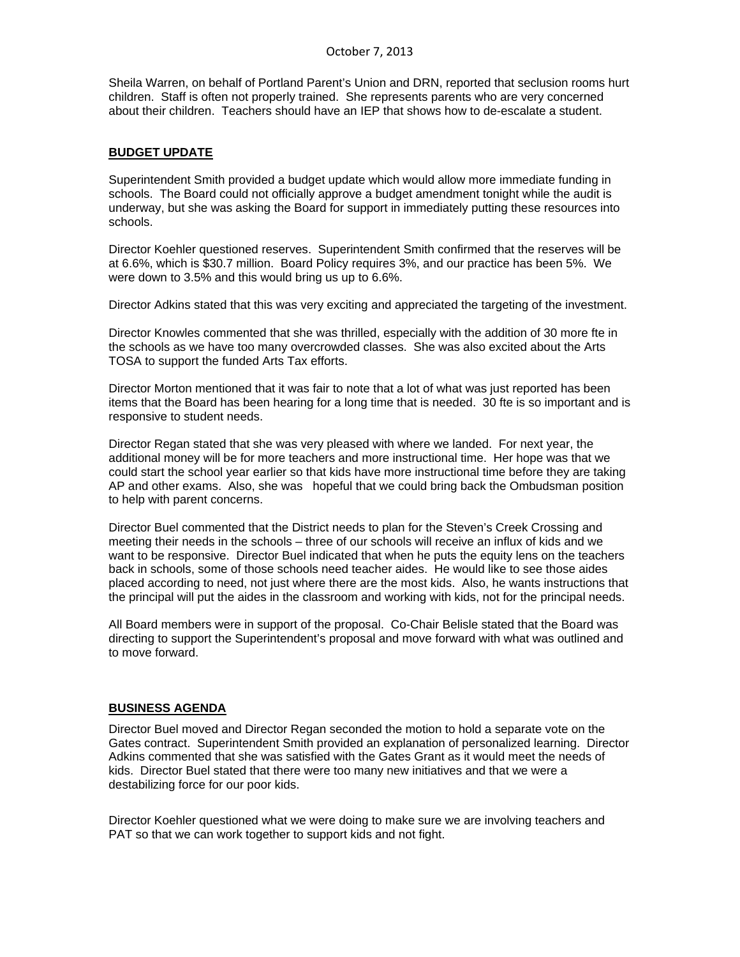Sheila Warren, on behalf of Portland Parent's Union and DRN, reported that seclusion rooms hurt children. Staff is often not properly trained. She represents parents who are very concerned about their children. Teachers should have an IEP that shows how to de-escalate a student.

## **BUDGET UPDATE**

Superintendent Smith provided a budget update which would allow more immediate funding in schools. The Board could not officially approve a budget amendment tonight while the audit is underway, but she was asking the Board for support in immediately putting these resources into schools.

Director Koehler questioned reserves. Superintendent Smith confirmed that the reserves will be at 6.6%, which is \$30.7 million. Board Policy requires 3%, and our practice has been 5%. We were down to 3.5% and this would bring us up to 6.6%.

Director Adkins stated that this was very exciting and appreciated the targeting of the investment.

Director Knowles commented that she was thrilled, especially with the addition of 30 more fte in the schools as we have too many overcrowded classes. She was also excited about the Arts TOSA to support the funded Arts Tax efforts.

Director Morton mentioned that it was fair to note that a lot of what was just reported has been items that the Board has been hearing for a long time that is needed. 30 fte is so important and is responsive to student needs.

Director Regan stated that she was very pleased with where we landed. For next year, the additional money will be for more teachers and more instructional time. Her hope was that we could start the school year earlier so that kids have more instructional time before they are taking AP and other exams. Also, she was hopeful that we could bring back the Ombudsman position to help with parent concerns.

Director Buel commented that the District needs to plan for the Steven's Creek Crossing and meeting their needs in the schools – three of our schools will receive an influx of kids and we want to be responsive. Director Buel indicated that when he puts the equity lens on the teachers back in schools, some of those schools need teacher aides. He would like to see those aides placed according to need, not just where there are the most kids. Also, he wants instructions that the principal will put the aides in the classroom and working with kids, not for the principal needs.

All Board members were in support of the proposal. Co-Chair Belisle stated that the Board was directing to support the Superintendent's proposal and move forward with what was outlined and to move forward.

#### **BUSINESS AGENDA**

Director Buel moved and Director Regan seconded the motion to hold a separate vote on the Gates contract. Superintendent Smith provided an explanation of personalized learning. Director Adkins commented that she was satisfied with the Gates Grant as it would meet the needs of kids. Director Buel stated that there were too many new initiatives and that we were a destabilizing force for our poor kids.

Director Koehler questioned what we were doing to make sure we are involving teachers and PAT so that we can work together to support kids and not fight.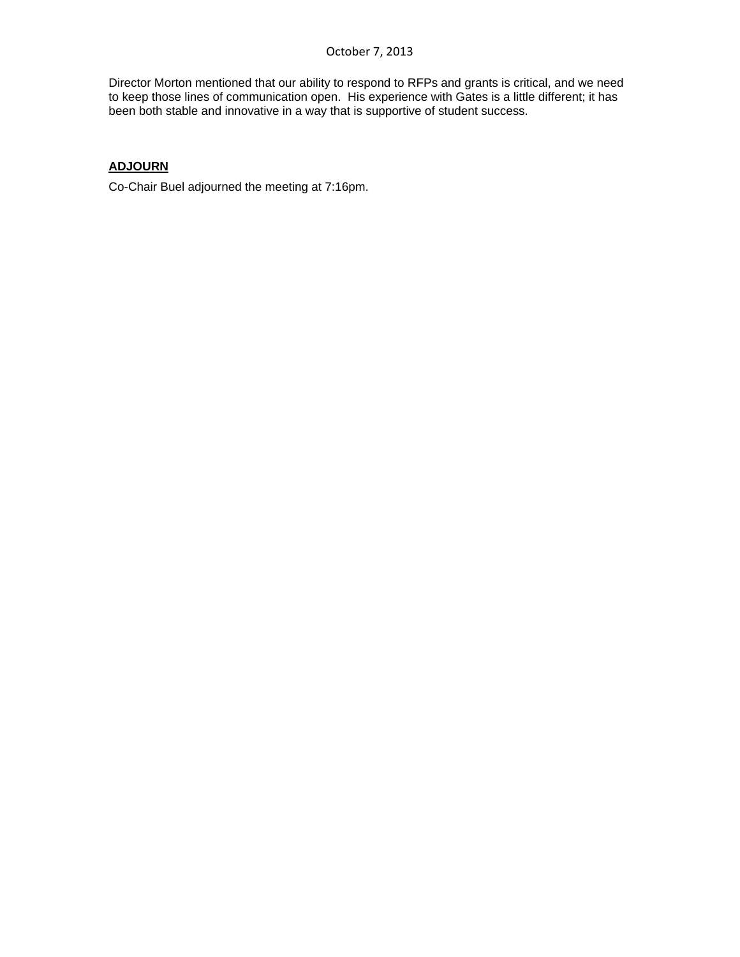Director Morton mentioned that our ability to respond to RFPs and grants is critical, and we need to keep those lines of communication open. His experience with Gates is a little different; it has been both stable and innovative in a way that is supportive of student success.

# **ADJOURN**

Co-Chair Buel adjourned the meeting at 7:16pm.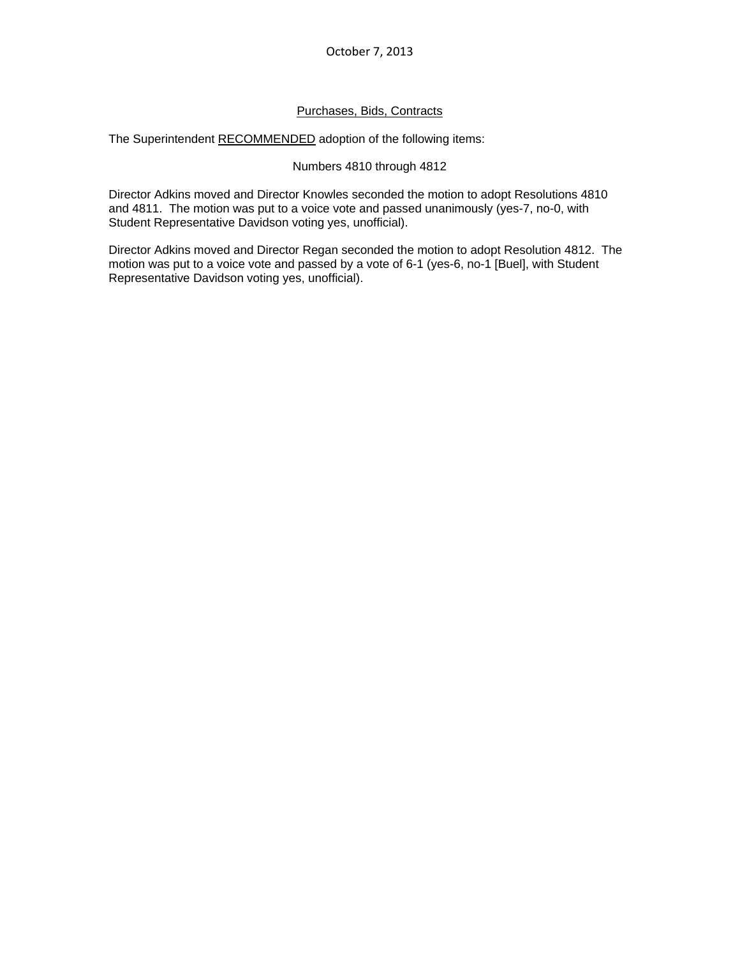## Purchases, Bids, Contracts

The Superintendent RECOMMENDED adoption of the following items:

#### Numbers 4810 through 4812

Director Adkins moved and Director Knowles seconded the motion to adopt Resolutions 4810 and 4811. The motion was put to a voice vote and passed unanimously (yes-7, no-0, with Student Representative Davidson voting yes, unofficial).

Director Adkins moved and Director Regan seconded the motion to adopt Resolution 4812. The motion was put to a voice vote and passed by a vote of 6-1 (yes-6, no-1 [Buel], with Student Representative Davidson voting yes, unofficial).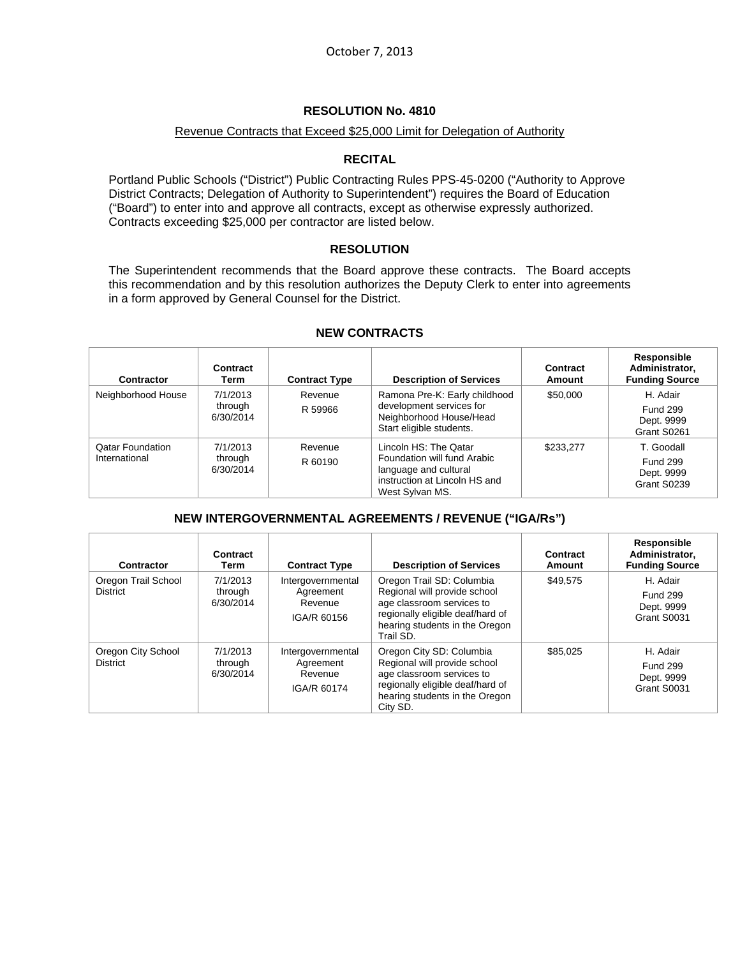## **RESOLUTION No. 4810**

#### Revenue Contracts that Exceed \$25,000 Limit for Delegation of Authority

### **RECITAL**

Portland Public Schools ("District") Public Contracting Rules PPS-45-0200 ("Authority to Approve District Contracts; Delegation of Authority to Superintendent") requires the Board of Education ("Board") to enter into and approve all contracts, except as otherwise expressly authorized. Contracts exceeding \$25,000 per contractor are listed below.

## **RESOLUTION**

The Superintendent recommends that the Board approve these contracts. The Board accepts this recommendation and by this resolution authorizes the Deputy Clerk to enter into agreements in a form approved by General Counsel for the District.

| Contractor                               | Contract<br>Term                 | <b>Contract Type</b> | <b>Description of Services</b>                                                                                                    | Contract<br>Amount | Responsible<br>Administrator,<br><b>Funding Source</b>     |
|------------------------------------------|----------------------------------|----------------------|-----------------------------------------------------------------------------------------------------------------------------------|--------------------|------------------------------------------------------------|
| Neighborhood House                       | 7/1/2013<br>through<br>6/30/2014 | Revenue<br>R 59966   | Ramona Pre-K: Early childhood<br>development services for<br>Neighborhood House/Head<br>Start eligible students.                  | \$50,000           | H. Adair<br><b>Fund 299</b><br>Dept. 9999<br>Grant S0261   |
| <b>Qatar Foundation</b><br>International | 7/1/2013<br>through<br>6/30/2014 | Revenue<br>R 60190   | Lincoln HS: The Qatar<br>Foundation will fund Arabic<br>language and cultural<br>instruction at Lincoln HS and<br>West Sylvan MS. | \$233,277          | T. Goodall<br><b>Fund 299</b><br>Dept. 9999<br>Grant S0239 |

## **NEW CONTRACTS**

## **NEW INTERGOVERNMENTAL AGREEMENTS / REVENUE ("IGA/Rs")**

| Contractor                             | Contract<br>Term                 | <b>Contract Type</b>                                     | <b>Description of Services</b>                                                                                                                                            | Contract<br><b>Amount</b> | Responsible<br>Administrator.<br><b>Funding Source</b>   |
|----------------------------------------|----------------------------------|----------------------------------------------------------|---------------------------------------------------------------------------------------------------------------------------------------------------------------------------|---------------------------|----------------------------------------------------------|
| Oregon Trail School<br><b>District</b> | 7/1/2013<br>through<br>6/30/2014 | Intergovernmental<br>Agreement<br>Revenue<br>IGA/R 60156 | Oregon Trail SD: Columbia<br>Regional will provide school<br>age classroom services to<br>regionally eligible deaf/hard of<br>hearing students in the Oregon<br>Trail SD. | \$49.575                  | H. Adair<br><b>Fund 299</b><br>Dept. 9999<br>Grant S0031 |
| Oregon City School<br><b>District</b>  | 7/1/2013<br>through<br>6/30/2014 | Intergovernmental<br>Agreement<br>Revenue<br>IGA/R 60174 | Oregon City SD: Columbia<br>Regional will provide school<br>age classroom services to<br>regionally eligible deaf/hard of<br>hearing students in the Oregon<br>City SD.   | \$85.025                  | H. Adair<br><b>Fund 299</b><br>Dept. 9999<br>Grant S0031 |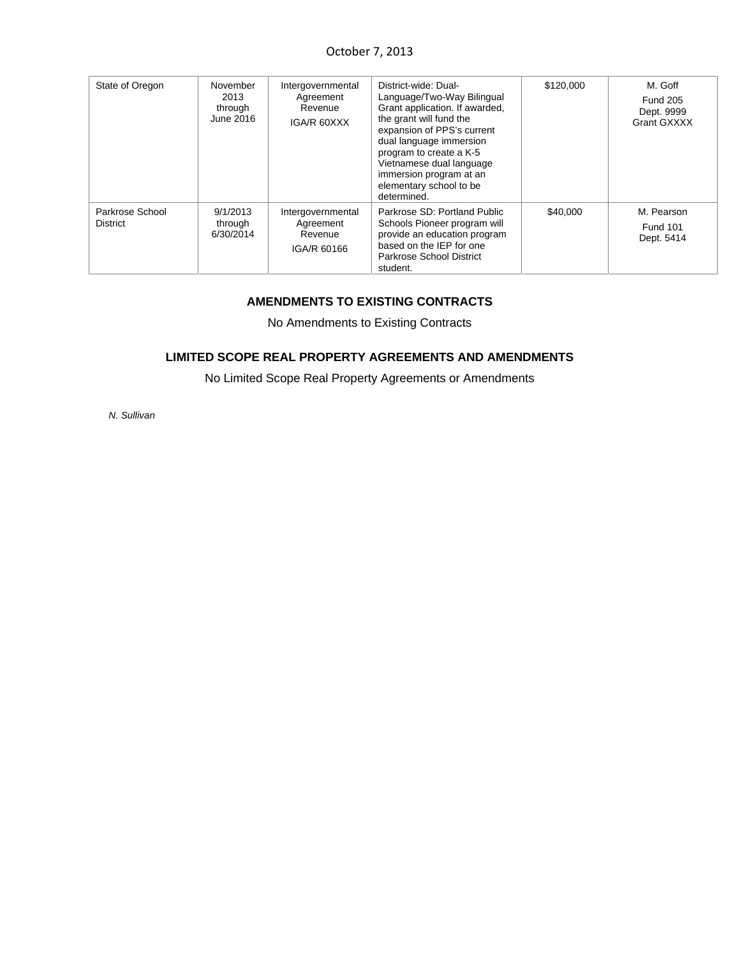| State of Oregon                    | November<br>2013<br>through<br>June 2016 | Intergovernmental<br>Agreement<br>Revenue<br>IGA/R 60XXX | District-wide: Dual-<br>Language/Two-Way Bilingual<br>Grant application. If awarded,<br>the grant will fund the<br>expansion of PPS's current<br>dual language immersion<br>program to create a K-5<br>Vietnamese dual language<br>immersion program at an<br>elementary school to be<br>determined. | \$120,000 | M. Goff<br><b>Fund 205</b><br>Dept. 9999<br>Grant GXXXX |
|------------------------------------|------------------------------------------|----------------------------------------------------------|------------------------------------------------------------------------------------------------------------------------------------------------------------------------------------------------------------------------------------------------------------------------------------------------------|-----------|---------------------------------------------------------|
| Parkrose School<br><b>District</b> | 9/1/2013<br>through<br>6/30/2014         | Intergovernmental<br>Agreement<br>Revenue<br>IGA/R 60166 | Parkrose SD: Portland Public<br>Schools Pioneer program will<br>provide an education program<br>based on the IEP for one<br><b>Parkrose School District</b><br>student.                                                                                                                              | \$40,000  | M. Pearson<br><b>Fund 101</b><br>Dept. 5414             |

## **AMENDMENTS TO EXISTING CONTRACTS**

No Amendments to Existing Contracts

## **LIMITED SCOPE REAL PROPERTY AGREEMENTS AND AMENDMENTS**

No Limited Scope Real Property Agreements or Amendments

*N. Sullivan*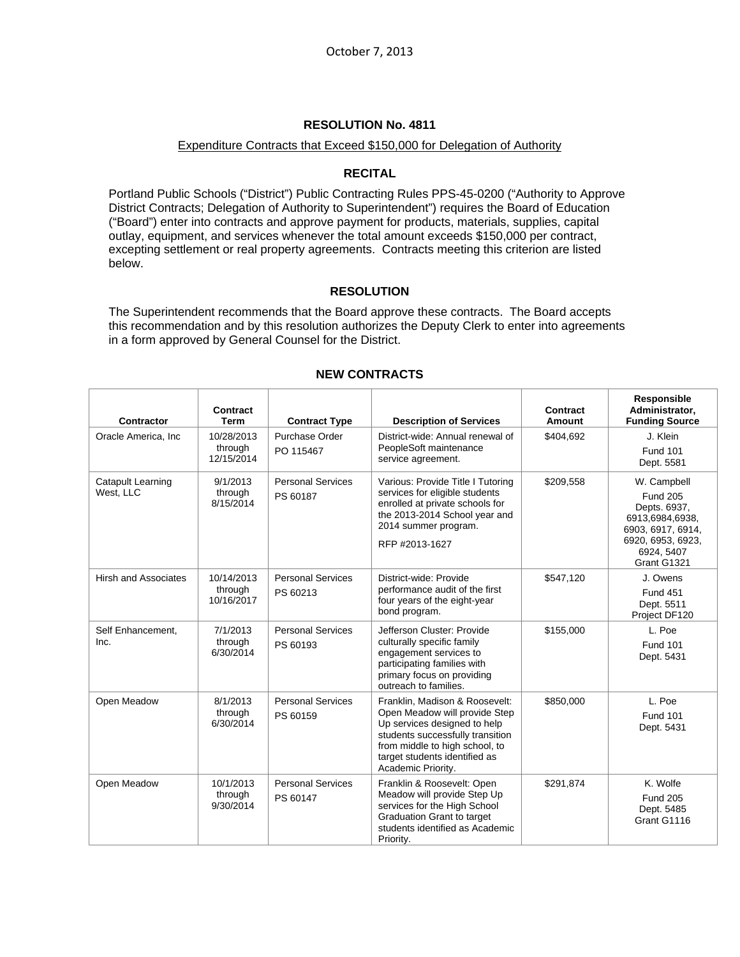#### **RESOLUTION No. 4811**

### Expenditure Contracts that Exceed \$150,000 for Delegation of Authority

### **RECITAL**

Portland Public Schools ("District") Public Contracting Rules PPS-45-0200 ("Authority to Approve District Contracts; Delegation of Authority to Superintendent") requires the Board of Education ("Board") enter into contracts and approve payment for products, materials, supplies, capital outlay, equipment, and services whenever the total amount exceeds \$150,000 per contract, excepting settlement or real property agreements. Contracts meeting this criterion are listed below.

## **RESOLUTION**

The Superintendent recommends that the Board approve these contracts. The Board accepts this recommendation and by this resolution authorizes the Deputy Clerk to enter into agreements in a form approved by General Counsel for the District.

| <b>Contractor</b>                     | Contract<br><b>Term</b>             | <b>Contract Type</b>                 | <b>Description of Services</b>                                                                                                                                                                                               | Contract<br>Amount | Responsible<br>Administrator,<br><b>Funding Source</b>                                                                                   |
|---------------------------------------|-------------------------------------|--------------------------------------|------------------------------------------------------------------------------------------------------------------------------------------------------------------------------------------------------------------------------|--------------------|------------------------------------------------------------------------------------------------------------------------------------------|
| Oracle America, Inc.                  | 10/28/2013<br>through<br>12/15/2014 | Purchase Order<br>PO 115467          | District-wide: Annual renewal of<br>PeopleSoft maintenance<br>service agreement.                                                                                                                                             | \$404,692          | J. Klein<br><b>Fund 101</b><br>Dept. 5581                                                                                                |
| <b>Catapult Learning</b><br>West, LLC | 9/1/2013<br>through<br>8/15/2014    | <b>Personal Services</b><br>PS 60187 | Various: Provide Title I Tutoring<br>services for eligible students<br>enrolled at private schools for<br>the 2013-2014 School year and<br>2014 summer program.<br>RFP #2013-1627                                            | \$209,558          | W. Campbell<br><b>Fund 205</b><br>Depts. 6937,<br>6913,6984,6938,<br>6903, 6917, 6914,<br>6920, 6953, 6923,<br>6924, 5407<br>Grant G1321 |
| <b>Hirsh and Associates</b>           | 10/14/2013<br>through<br>10/16/2017 | <b>Personal Services</b><br>PS 60213 | District-wide: Provide<br>performance audit of the first<br>four years of the eight-year<br>bond program.                                                                                                                    | \$547,120          | J. Owens<br><b>Fund 451</b><br>Dept. 5511<br>Project DF120                                                                               |
| Self Enhancement,<br>Inc.             | 7/1/2013<br>through<br>6/30/2014    | <b>Personal Services</b><br>PS 60193 | Jefferson Cluster: Provide<br>culturally specific family<br>engagement services to<br>participating families with<br>primary focus on providing<br>outreach to families.                                                     | \$155,000          | L. Poe<br><b>Fund 101</b><br>Dept. 5431                                                                                                  |
| Open Meadow                           | 8/1/2013<br>through<br>6/30/2014    | <b>Personal Services</b><br>PS 60159 | Franklin, Madison & Roosevelt:<br>Open Meadow will provide Step<br>Up services designed to help<br>students successfully transition<br>from middle to high school, to<br>target students identified as<br>Academic Priority. | \$850,000          | L. Poe<br><b>Fund 101</b><br>Dept. 5431                                                                                                  |
| Open Meadow                           | 10/1/2013<br>through<br>9/30/2014   | <b>Personal Services</b><br>PS 60147 | Franklin & Roosevelt: Open<br>Meadow will provide Step Up<br>services for the High School<br><b>Graduation Grant to target</b><br>students identified as Academic<br>Priority.                                               | \$291,874          | K. Wolfe<br><b>Fund 205</b><br>Dept. 5485<br>Grant G1116                                                                                 |

## **NEW CONTRACTS**